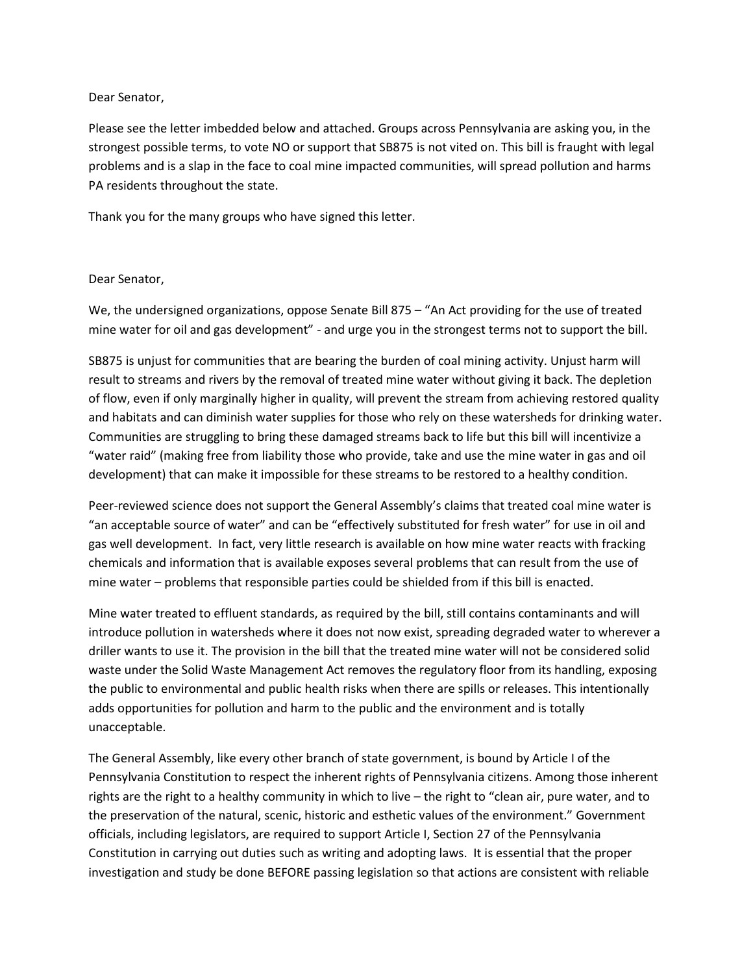## Dear Senator,

Please see the letter imbedded below and attached. Groups across Pennsylvania are asking you, in the strongest possible terms, to vote NO or support that SB875 is not vited on. This bill is fraught with legal problems and is a slap in the face to coal mine impacted communities, will spread pollution and harms PA residents throughout the state.

Thank you for the many groups who have signed this letter.

## Dear Senator,

We, the undersigned organizations, oppose Senate Bill 875 – "An Act providing for the use of treated mine water for oil and gas development" - and urge you in the strongest terms not to support the bill.

SB875 is unjust for communities that are bearing the burden of coal mining activity. Unjust harm will result to streams and rivers by the removal of treated mine water without giving it back. The depletion of flow, even if only marginally higher in quality, will prevent the stream from achieving restored quality and habitats and can diminish water supplies for those who rely on these watersheds for drinking water. Communities are struggling to bring these damaged streams back to life but this bill will incentivize a "water raid" (making free from liability those who provide, take and use the mine water in gas and oil development) that can make it impossible for these streams to be restored to a healthy condition.

Peer-reviewed science does not support the General Assembly's claims that treated coal mine water is "an acceptable source of water" and can be "effectively substituted for fresh water" for use in oil and gas well development. In fact, very little research is available on how mine water reacts with fracking chemicals and information that is available exposes several problems that can result from the use of mine water – problems that responsible parties could be shielded from if this bill is enacted.

Mine water treated to effluent standards, as required by the bill, still contains contaminants and will introduce pollution in watersheds where it does not now exist, spreading degraded water to wherever a driller wants to use it. The provision in the bill that the treated mine water will not be considered solid waste under the Solid Waste Management Act removes the regulatory floor from its handling, exposing the public to environmental and public health risks when there are spills or releases. This intentionally adds opportunities for pollution and harm to the public and the environment and is totally unacceptable.

The General Assembly, like every other branch of state government, is bound by Article I of the Pennsylvania Constitution to respect the inherent rights of Pennsylvania citizens. Among those inherent rights are the right to a healthy community in which to live – the right to "clean air, pure water, and to the preservation of the natural, scenic, historic and esthetic values of the environment." Government officials, including legislators, are required to support Article I, Section 27 of the Pennsylvania Constitution in carrying out duties such as writing and adopting laws. It is essential that the proper investigation and study be done BEFORE passing legislation so that actions are consistent with reliable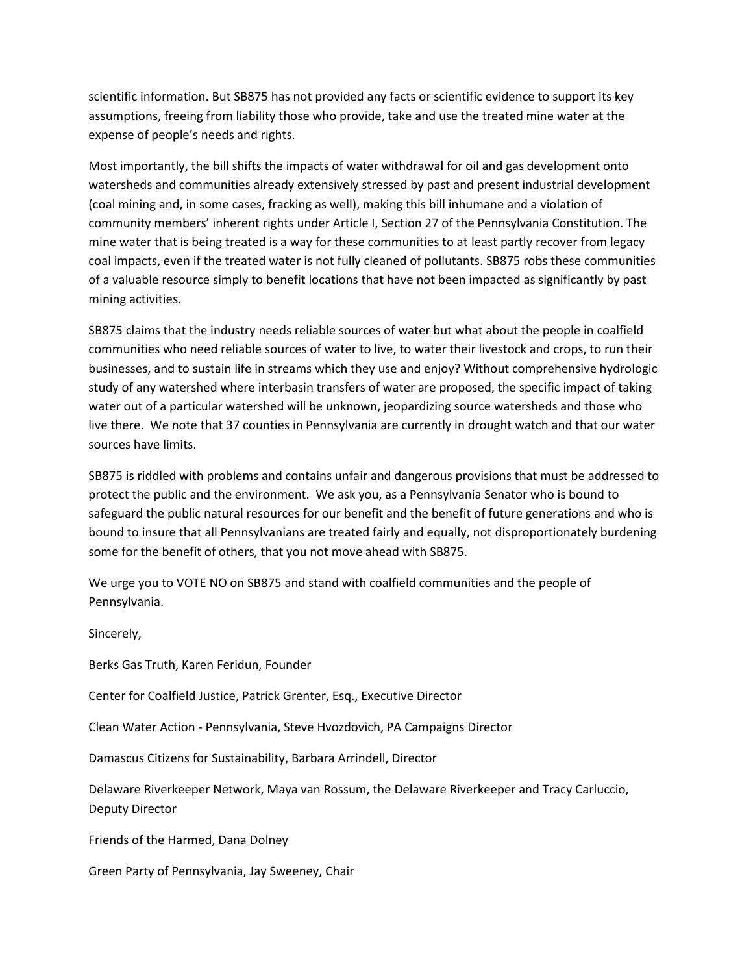scientific information. But SB875 has not provided any facts or scientific evidence to support its key assumptions, freeing from liability those who provide, take and use the treated mine water at the expense of people's needs and rights.

Most importantly, the bill shifts the impacts of water withdrawal for oil and gas development onto watersheds and communities already extensively stressed by past and present industrial development (coal mining and, in some cases, fracking as well), making this bill inhumane and a violation of community members' inherent rights under Article I, Section 27 of the Pennsylvania Constitution. The mine water that is being treated is a way for these communities to at least partly recover from legacy coal impacts, even if the treated water is not fully cleaned of pollutants. SB875 robs these communities of a valuable resource simply to benefit locations that have not been impacted as significantly by past mining activities.

SB875 claims that the industry needs reliable sources of water but what about the people in coalfield communities who need reliable sources of water to live, to water their livestock and crops, to run their businesses, and to sustain life in streams which they use and enjoy? Without comprehensive hydrologic study of any watershed where interbasin transfers of water are proposed, the specific impact of taking water out of a particular watershed will be unknown, jeopardizing source watersheds and those who live there. We note that 37 counties in Pennsylvania are currently in drought watch and that our water sources have limits.

SB875 is riddled with problems and contains unfair and dangerous provisions that must be addressed to protect the public and the environment. We ask you, as a Pennsylvania Senator who is bound to safeguard the public natural resources for our benefit and the benefit of future generations and who is bound to insure that all Pennsylvanians are treated fairly and equally, not disproportionately burdening some for the benefit of others, that you not move ahead with SB875.

We urge you to VOTE NO on SB875 and stand with coalfield communities and the people of Pennsylvania.

Sincerely,

Berks Gas Truth, Karen Feridun, Founder

Center for Coalfield Justice, Patrick Grenter, Esq., Executive Director

Clean Water Action - Pennsylvania, Steve Hvozdovich, PA Campaigns Director

Damascus Citizens for Sustainability, Barbara Arrindell, Director

Delaware Riverkeeper Network, Maya van Rossum, the Delaware Riverkeeper and Tracy Carluccio, Deputy Director

Friends of the Harmed, Dana Dolney

Green Party of Pennsylvania, Jay Sweeney, Chair